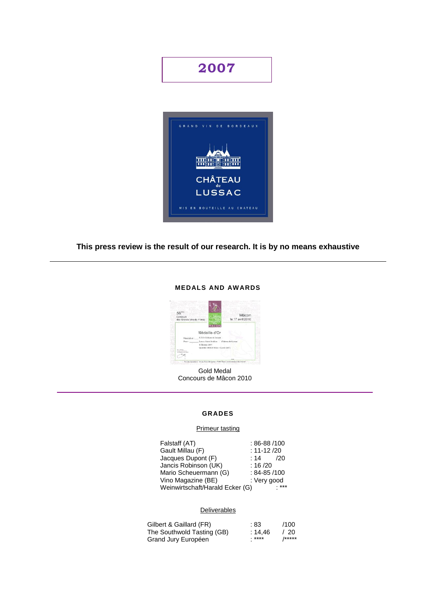# **2007**



# **This press review is the result of our research. It is by no means exhaustive**

## **MEDALS AND AWARDS**



Gold Medal Concours de Mâcon 2010

## **GRADES**

## Primeur tasting

| Falstaff (AT)                   | $:86-88/100$      |     |
|---------------------------------|-------------------|-----|
| Gault Millau (F)                | $: 11 - 12 / 20$  |     |
| Jacques Dupont (F)              | : 14              | 120 |
| Jancis Robinson (UK)            | : 16/20           |     |
| Mario Scheuermann (G)           | $: 84 - 85 / 100$ |     |
| Vino Magazine (BE)              | : Very good       |     |
| Weinwirtschaft/Harald Ecker (G) |                   |     |

### **Deliverables**

| Gilbert & Gaillard (FR)    | :83     | /100   |
|----------------------------|---------|--------|
| The Southwold Tasting (GB) | : 14.46 | /20    |
| Grand Jury Européen        | *****   | /***** |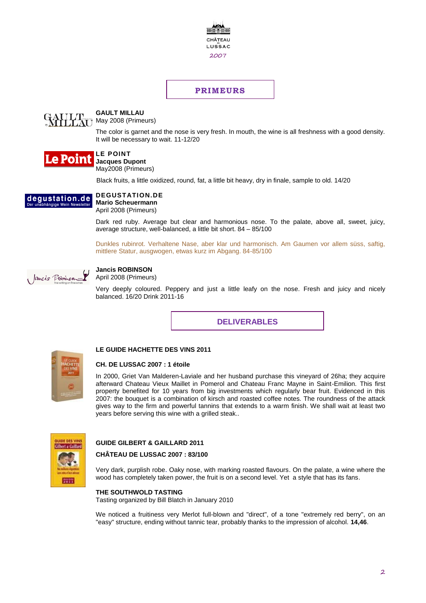

# **PRIMEURS**



# **GAULT MILLAU**

May 2008 (Primeurs)

The color is garnet and the nose is very fresh. In mouth, the wine is all freshness with a good density. It will be necessary to wait. 11-12/20



#### **LE POINT Jacques Dupont**

May2008 (Primeurs)

Black fruits, a little oxidized, round, fat, a little bit heavy, dry in finale, sample to old. 14/20



**Mario Scheuermann** April 2008 (Primeurs)

Dark red ruby. Average but clear and harmonious nose. To the palate, above all, sweet, juicy, average structure, well-balanced, a little bit short. 84 – 85/100

Dunkles rubinrot. Verhaltene Nase, aber klar und harmonisch. Am Gaumen vor allem süss, saftig, mittlere Statur, ausgwogen, etwas kurz im Abgang. 84-85/100



# **Jancis ROBINSON**

April 2008 (Primeurs)

Very deeply coloured. Peppery and just a little leafy on the nose. Fresh and juicy and nicely balanced. 16/20 Drink 2011-16

**DELIVERABLES**



## **LE GUIDE HACHETTE DES VINS 2011**

#### **CH. DE LUSSAC 2007 : 1 étoile**

In 2000, Griet Van Malderen-Laviale and her husband purchase this vineyard of 26ha; they acquire afterward Chateau Vieux Maillet in Pomerol and Chateau Franc Mayne in Saint-Emilion. This first property benefited for 10 years from big investments which regularly bear fruit. Evidenced in this 2007: the bouquet is a combination of kirsch and roasted coffee notes. The roundness of the attack gives way to the firm and powerful tannins that extends to a warm finish. We shall wait at least two years before serving this wine with a grilled steak..



# **GUIDE GILBERT & GAILLARD 2011**

#### **CHÂTEAU DE LUSSAC 2007 : 83/100**

Very dark, purplish robe. Oaky nose, with marking roasted flavours. On the palate, a wine where the wood has completely taken power, the fruit is on a second level. Yet a style that has its fans.

#### **THE SOUTHWOLD TASTING**

Tasting organized by Bill Blatch in January 2010

We noticed a fruitiness very Merlot full-blown and "direct", of a tone "extremely red berry", on an "easy" structure, ending without tannic tear, probably thanks to the impression of alcohol. **14,46**.